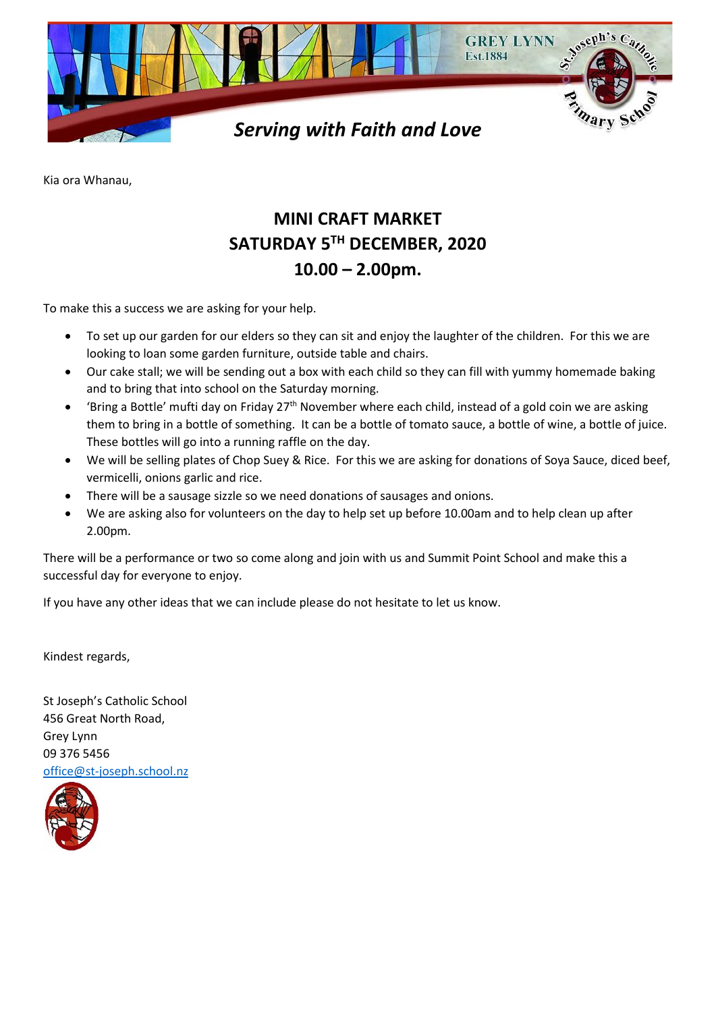

Kia ora Whanau,

## **MINI CRAFT MARKET SATURDAY 5TH DECEMBER, 2020 10.00 – 2.00pm.**

To make this a success we are asking for your help.

- To set up our garden for our elders so they can sit and enjoy the laughter of the children. For this we are looking to loan some garden furniture, outside table and chairs.
- Our cake stall; we will be sending out a box with each child so they can fill with yummy homemade baking and to bring that into school on the Saturday morning.
- $\bullet$  'Bring a Bottle' mufti day on Friday 27<sup>th</sup> November where each child, instead of a gold coin we are asking them to bring in a bottle of something. It can be a bottle of tomato sauce, a bottle of wine, a bottle of juice. These bottles will go into a running raffle on the day.
- We will be selling plates of Chop Suey & Rice. For this we are asking for donations of Soya Sauce, diced beef, vermicelli, onions garlic and rice.
- There will be a sausage sizzle so we need donations of sausages and onions.
- We are asking also for volunteers on the day to help set up before 10.00am and to help clean up after 2.00pm.

There will be a performance or two so come along and join with us and Summit Point School and make this a successful day for everyone to enjoy.

If you have any other ideas that we can include please do not hesitate to let us know.

Kindest regards,

St Joseph's Catholic School 456 Great North Road, Grey Lynn 09 376 5456 [office@st-joseph.school.nz](mailto:office@st-joseph.school.nz)